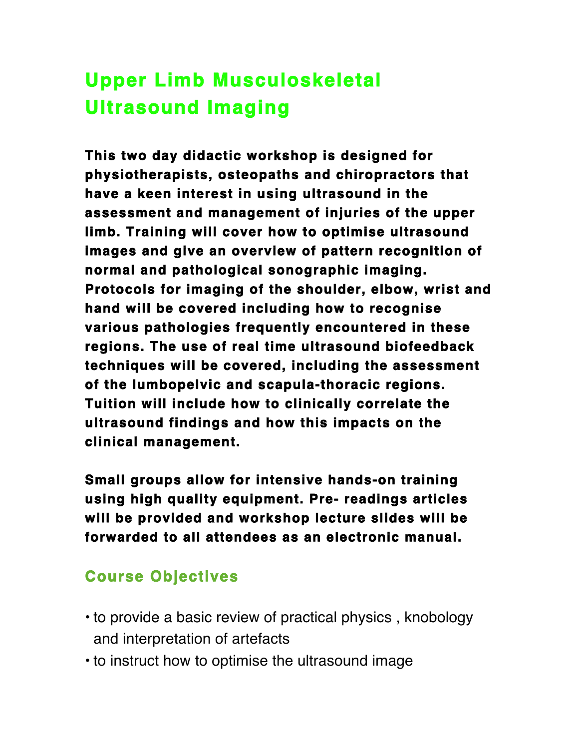## **Upper Limb Musculoskeletal Ultrasound Imaging**

**This two day didactic workshop is designed for physiotherapists, osteopaths and chiropractors that have a keen interest in using ultrasound in the assessment and management of injuries of the upper limb. Training will cover how to optimise ultrasound images and give an overview of pattern recognition of normal and pathological sonographic imaging. Protocols for imaging of the shoulder, elbow, wrist and hand will be covered including how to recognise various pathologies frequently encountered in these regions. The use of real time ultrasound biofeedback techniques will be covered, including the assessment of the lumbopelvic and scapula-thoracic regions. Tuition will include how to clinically correlate the ultrasound findings and how this impacts on the clinical management.** 

**Small groups allow for intensive hands-on training using high quality equipment. Pre- readings articles will be provided and workshop lecture slides will be forwarded to all attendees as an electronic manual.** 

## **Course Objectives**

- to provide a basic review of practical physics , knobology and interpretation of artefacts
- to instruct how to optimise the ultrasound image